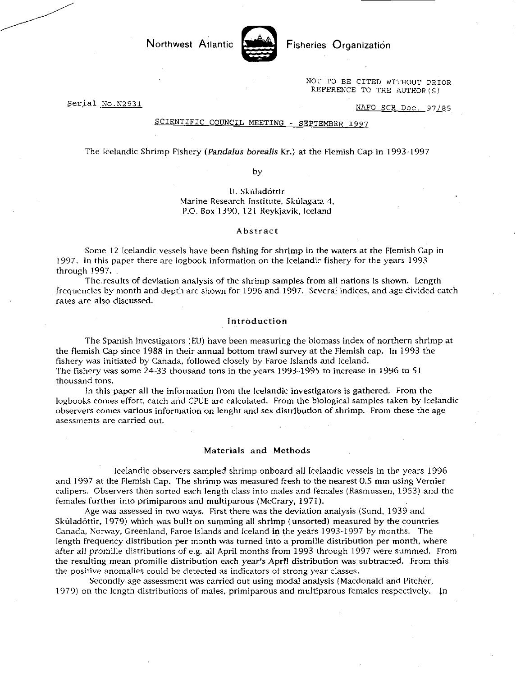Northwest Atlantic **Notation** Fisheries Organization



NOT TO BE CITED WITHOUT PRIOR REFERENCE TO THE AUTHOR(S)

Serial No.N2931

NAFO SCR Doc. 97/85

## SCIENTIFIC COUNCIL MEETING - SEPTEMBER 1997

The Icelandic Shrimp Fishery *(Pandalus borealis* Kr.) at the Flemish Cap in 1993-1997

by

U. Skúladóttir Marine Research Institute, Skúlagata 4, P.O. Box 1390, 121 Reykjavik, Iceland

# Abstract

Some 12 Icelandic vessels have been fishing for shrimp in the waters at the Flemish Cap in 1997. In this paper there are logbook information on the Icelandic fishery for the years 1993 through 1997.

The results of deviation analysis of the shrimp samples from all nations is shown. Length frequencies by month and depth are shown for 1996 and 1997. Several indices, and age divided catch rates are also discussed.

## Introduction

The Spanish investigators (EU) have been measuring the biomass index of northern shrimp at the flemish Cap since 1988 in their annual bottom trawl survey at the Flemish cap. In 1993 the fishery was initiated by Canada, followed closely by Faroe Islands and Iceland. The fishery was some 24-33 thousand tons in the years 1993-1995 to increase in 1996 to 51 thousand tons.

In this paper all the information from the Icelandic investigators is gathered. From the logbooks comes effort, catch and CPUE are calculated. From the biological samples taken by Icelandic observers comes various information on lenght and sex distribution of shrimp. From these the age asessments are carried out.

## Materials and Methods

Icelandic observers sampled shrimp onboard all Icelandic vessels in the years 1996 and 1997 at the Flemish Cap. The shrimp was measured fresh to the nearest 0.5 mm using Vernier calipers. Observers then sorted each length class into males and females (Rasmussen, 1953) and the females further into primiparous and multiparous (McCrary, 1971).

Age was assessed in two ways. First there was the deviation analysis (Sund, 1939 and Skúladóttir, 1979) which was built on summing all shrimp (unsorted) measured by the countries Canada, Norway, Greenland, Faroe Islands and Iceland in the years 1993-1997 by months. The length frequency distribution per month was turned into a promille distribution per month, where after *all* promille distributions of e.g. all April months from 1993 through 1997 were summed. From the resulting mean promille distribution each year's April distribution was subtracted. From this the positive anomalies could be detected as indicators of strong year classes.

Secondly age assessment was carried out using modal analysis (Macdonald and Pitcher, 1979) on the length distributions of males, primiparous and multiparous females respectively. In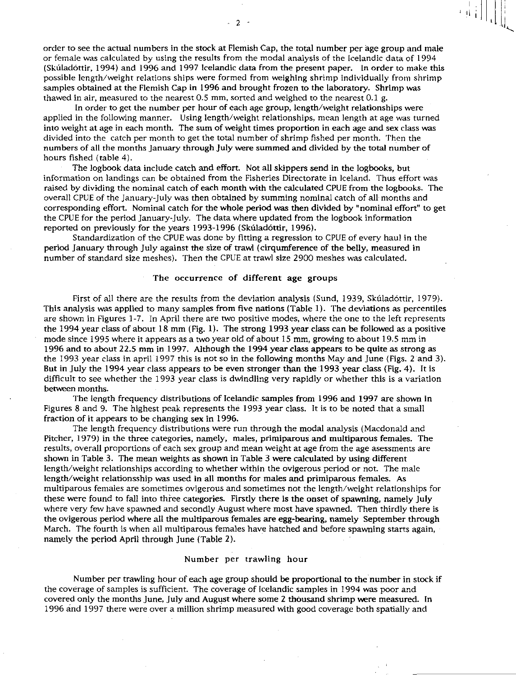order to see the actual numbers in the stock at Flemish Cap, the total number per age group and male or female was calculated by using the results from the modal analysis of the Icelandic data of 1994 (Skilladottir, 1994) and 1996 and 1997 Icelandic data from the present paper. In order to make this possible length/weight relations ships were formed from weighing shrimp individually from shrimp samples obtained at the Flemish Cap in 1996 and brought frozen to the laboratory. Shrimp was thawed in air, measured to the nearest 0.5 mm, sorted and weighed to the nearest 0.1 g.

 $\begin{bmatrix} 1 & 1 \\ 1 & 1 \end{bmatrix} \begin{bmatrix} 1 & 1 \\ 1 & 1 \end{bmatrix}$ 

In order to get the number per hour of each age group, length/weight relationships were applied in the following manner. Using length/weight relationships, mean length at age was turned into weight at age in each month. The sum of weight times proportion in each age and sex class was divided into the catch per month to get the total number of shrimp fished per month. Then the numbers of all the months January through July were summed and divided by the total number of hours fished (table 4).

The logbook data include catch and effort. Not all skippers send in the logbooks, but information on landings can be obtained from the Fisheries Directorate in Iceland. Thus effort was raised by dividing the nominal catch of each month with the calculated CPUE from the logbooks. The overall CPUE of the January-July was then obtained by summing nominal catch of all months and corresponding effort. Nominal catch for the whole period was then divided by "nominal effort" to get the CPUE for the period January-July. The data where updated from the logbook information reported on previously for the years 1993-1996 (Skúladóttir, 1996).

Standardization of the CPUE was done by fitting a regression to CPUE of every haul in the period January through July against the size of trawl (cirqumference of the belly, measured in number of standard size meshes). Then the CPUE at trawl size 2900 meshes was calculated.

# The occurrence of different age groups

First of all there are the results from the deviation analysis (Sund, 1939, Skúladóttir, 1979). This analysis was applied to many samples from five nations (Table 1). The deviations as percentiles are shown in Figures 1-7. In April there are two positive modes, where the one to the left represents the 1994 year class of about 18 mm (Fig. 1). The strong 1993 year class can be followed as a positive mode since 1995 where it appears as a two year old of about 15 mm, growing to about 19.5 mm in 1996 and to about 22.5 mm in 1997. Although the 1994 year class appears to be quite as strong as the 1993 year class in april 1997 this is not so in the following months May and June (Figs. 2 and 3). But in July the 1994 year class appears to be even stronger than the 1993 year class (Fig. 4). It is difficult to see whether the 1993 year class is dwindling very rapidly or whether this is a variation between months.

The length frequency distributions of Icelandic samples from 1996 and 1997 are shown in Figures 8 and 9. The highest peak represents the 1993 year class. It is to be noted that a small fraction of it appears to be changing sex in 1996.

The length frequency distributions were run through the modal analysis (Macdonald and Pitcher, 1979) in the three categories, namely, males, primiparous and multiparous females. The results, overall proportions of each sex group and mean weight at age from the age asessments are shown in Table 3. The mean weights as shown in Table 3 were calculated by using different length/weight relationships according to whether within the ovigerous period or not. The male length/weight relationsship was used in all months for males and primiparous females. As multiparous females are sometimes ovigerous and sometimes not the length/weight relationships for these were found to fall into three categories. Firstly there is the onset of spawning, namely July where very few have spawned and secondly August where most have spawned. Then thirdly there is the ovigerous period where all the multiparous females are egg-bearing, namely September through March. The fourth is when all multiparous females have hatched and before spawning starts again, namely the period April through June (Table 2).

# Number per trawling hour

Number per trawling hour of each age group should be proportional to the number in stock if the coverage of samples is sufficient. The coverage of Icelandic samples in 1994 was poor and covered only the months June, July and August where some 2 thousand shrimp were measured. In 1996 and 1997 there were over a million shrimp measured with good coverage both spatially and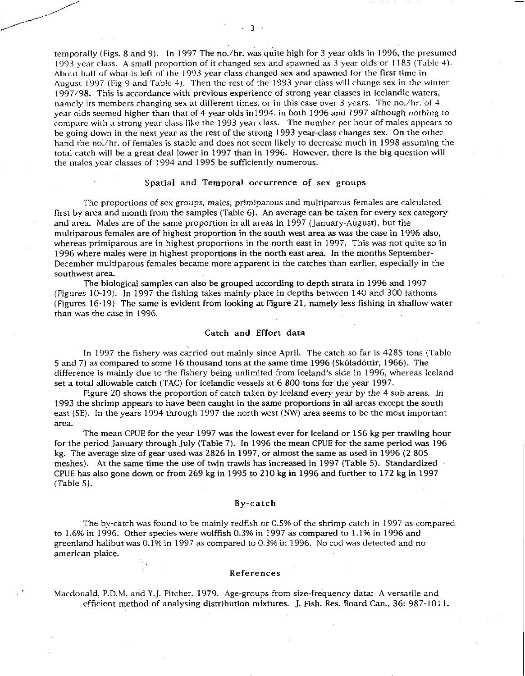temporally (Figs. 8 and 9). In 1997 The no./hr. was quite high for 3 year olds in 1996, the presumed 1993 year class. A small proportion of it changed sex and spawned as 3 year olds or 1185 (Table 4). About half of what is left of the 1993 year class changed sex and spawned for the first time in August 1997 (Fig 9 and Table 4). Then the rest of the 1993 year class will change sex in the winter 1997/98. This is accordance with previous experience of strong year classes in Icelandic waters, namely its members changing sex at different times, or in this case over 3 years. The no./hr. of 4 year olds seemed higher than that of 4 year olds in1994. in both 1996 and 1997 although nothing to compare with a strong year class like the 1993 year class. The number per hour of males appears to be going down in the next year as the rest of the strong 1993 year-class changes sex. On the other hand the no./hr. of females is stable and does not seem likely to decrease much in 1998 assuming the total catch will be a great deal lower in 1997 than in 1996. However, there is the big question will the males year classes of 1994 and 1995 be sufficiently numerous.

## Spatial and Temporal occurrence of sex groups

The proportions of sex groups, *males,* primiparous and multiparous females are calculated first by area and month from the samples (Table 6). An average can be taken for every sex category and area. Males are of the same proportion in all areas in 1997 (January-August), but the multiparous females are of highest proportion in the south west area as was the case in 1996 also, whereas primiparous are in highest proportions in the north east in 1997. This was not quite so in 1996 where males were in highest proportions in the north east area. In the months September-December multiparous females became more apparent in the catches than earlier, especially in the southwest area

The biological samples can also be grouped according to depth strata in 1996 and 1997 *(Figures* 10-19). In 1997 the fishing takes mainly place in depths between 140 and 300 fathoms (Figures 16-19) The same is evident from looking at Figure 21, namely less fishing in shallow water than was the case in 1996.

#### Catch and Effort data

In 1997 the fishery was carried out mainly since April. The catch so far is 4285 tons (Table 5 and 7) as compared to some 16 thousand tons at the same time 1996 (Sliladottir, 1966). The difference is mainly due to the fishery being unlimited from Iceland's side in 1996, whereas Iceland set a total allowable catch (TAC) for Icelandic vessels at 6 800 tons for the year 1997.

Figure 20 shows the proportion of catch taken by Iceland every *year by the* 4 sub areas. In 1993 the shrimp appears to have been caught in the same proportions in all areas except the south east (SE). In the years 1994 through 1997 the north west (NW) area seems to be the most important area.

The mean CPUE for the year 1997 was the lowest ever for Iceland or 156 kg per trawling hour for the period January through July (Table 7). In 1996 the mean CPUE for the same period was 196 kg. The average size of gear used was 2826 in 1997, or almost the same as used in 1996 (2 805 meshes). At the same time the use of twin trawls has increased in 1997 (Table 5). Standardized CPUE has also gone down or from 269 kg in 1995 to 210 kg in 1996 and further to 172 kg in 1997 (Table *5).* 

## By-catch

The by-catch was found to be mainly redfish or 0.5% of the shrimp catch in 1997 as compared to 1.6% in 1996. Other species were wolffish 0.3% in 1997 as compared to 1.1% in 1996 and greenland halibut was 0.1% in 1997 as compared to 0.3% in 1996. No cod was detected and no american plaice.

## References

Macdonald, P.D.M. and Y.J. Pitcher. 1979. Age-groups from size-frequency data: A versatile and efficient method of analysing distribution mixtures. J. Fish. Res. Board Can., 36: 987-1011.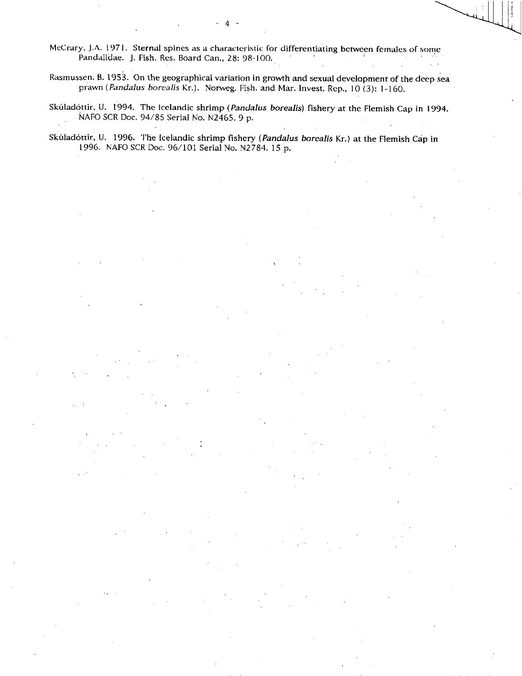McCrary, J.A. 1971. Sternal spines as a characteristic for differentiating between females of some Pandalidae. J. Fish. Res. Board Can., 28: 98-100.

- 4

Rasmussen. B. 1953. On the geographical variation in growth and sexual development of the deep sea prawn *(Pandalus borealis* Kr.). Norweg. Fish. and Mar. Invest. Rep., 10 (3): 1 -160.

Skuladottir, U. 1994. The Icelandic shrimp *(Pandalus borealis)* fishery at the Flemish Cap in 1994. NAFO SCR Doc. 94/85 Serial No. N2465. 9 p.

Skuladottir, U. 1996. The Icelandic shrimp fishery *(Pandalus borealis* Kr.) at the Flemish Cap in 1996. NAFO SCR Doc. 96/101 Serial No. N2784. 15 p.

u in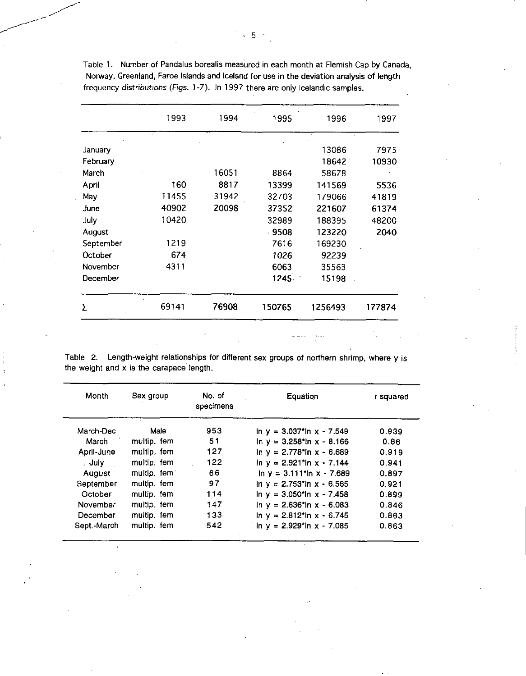|           | 1993  | 1994  | 1995    | 1996    | 1997   |
|-----------|-------|-------|---------|---------|--------|
| January   |       |       |         | 13086   | 7975   |
| February  |       |       |         | 18642   | 10930  |
| March     |       | 16051 | 8864    | 58678   |        |
| April     | 160   | 8817  | 13399   | 141569  | 5536   |
| May       | 11455 | 31942 | 32703   | 179066  | 41819  |
| June      | 40902 | 20098 | 37352   | 221607  | 61374  |
| July      | 10420 |       | 32989   | 188395  | 48200  |
| August    |       |       | $-9508$ | 123220  | 2040   |
| September | 1219  |       | 7616    | 169230  |        |
| October   | 674   |       | 1026    | 92239   |        |
| November  | 4311  |       | 6063    | 35563   |        |
| December  |       |       | 1245.   | 15198   |        |
| Σ         | 69141 | 76908 | 150765  | 1256493 | 177874 |

Table 1. Number of Pandalus borealis measured in each month at Flemish Cap by Canada, Norway, Greenland, Faroe Islands and Iceland for use in the deviation analysis of length frequency distributions (Figs. 1-7). In 1997 there are only Icelandic samples.

Table 2. Length-weight relationships for different sex groups of northern shrimp, where y is the weight and x is the carapace length.

| Month       | Sex group   | No. of<br>specimens | Equation                                   | r squared |
|-------------|-------------|---------------------|--------------------------------------------|-----------|
| March-Dec   | Male        | 953                 | $\ln y = 3.037$ *ln x - 7.549              | 0.939     |
| March       | multip. fem | 51                  | $\ln y = 3.258$ th x - 8.166               | 0.86      |
| April-June  | multip. fem | 127                 | in $y = 2.778$ *in $x - 6.689$             | 0.919     |
| . July      | multip. fem | 122                 | $\ln y = 2.921$ *ln x - 7.144              | 0.941     |
| August      | multip, fem | 66.                 | $\ln y = 3.111$ 'ln $x - 7.689$            | 0.897     |
| September   | multip. fem | 97                  | $\ln y = 2.753$ *ln x - 6.565              | 0.921     |
| October     | multip, fem | 114                 | $\ln y = 3.050$ $\ln x - 7.458$            | 0.899     |
| November    | multip. fem | 147                 | $\ln v = 2.636$ *ln x - 6.083              | 0.846     |
| December    | multip. fem | 133                 | in $y = 2.812$ *ln $x - 6.745$             | 0.863     |
| Sept.-March | multip. fem | 542                 | In $y = 2.929$ <sup>*</sup> In $x - 7.085$ | 0.863     |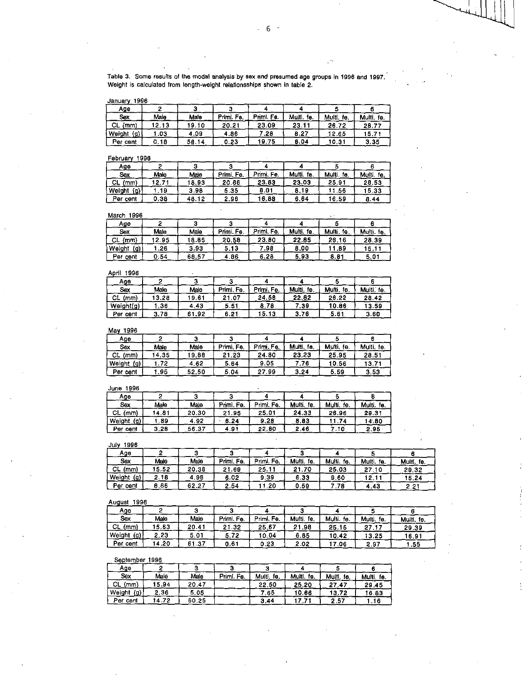Table 3. Some results of the modal analysis by sex and presumed age groups in 1998 and 1997. Weight is calculated from length-weight relationsships shown in table 2.

January 1996

| Age                           |      |       |            |            |               |               |                |
|-------------------------------|------|-------|------------|------------|---------------|---------------|----------------|
| Sex                           | Male | Male  | Primi. Fe. | Priml, Fe. | Multi.<br>te. | Multi.<br>te. | Multi.<br>fθ.  |
| <b>CL</b><br>(mm)             | 2.13 | 19.10 | 20.21      | 23.09      | 23.11         | 26.72         | 28.77          |
| $\langle g \rangle$<br>Weight | .03  | 4.09  | 4.86       | .28        | 8.27          | 12.65         | $15.7^{\circ}$ |
| Per cent                      | 0.18 | 58.14 | 0.23       | 19.75      | 8.04          | 10.31         | 3.35           |

## February 1996

| Age                  |       |       |            |            |               |               |               |
|----------------------|-------|-------|------------|------------|---------------|---------------|---------------|
| Sex                  | Male  | Male  | Primi. Fe. | Primi. Fe. | Multi.<br>fe. | Multi.<br>fe. | Multi.<br>fe. |
| CL.<br>(mm)          | 12.71 | 8.93  | 20.86      | 23.83      | 23.03         | 25.91         | 28.53         |
| <u>(o)</u><br>Weight | .19   | 3.98  | 5.35       | 8.01       | 8.19          | .56           | 15.33         |
| Per cent             | 0.38  | 48.12 | 2.96       | 16.88      | 6.64          | 16.59         | 8.44          |

# March 1996

| <b>BIGILI</b><br>,,,, |       |       |            |            |            |               |            |  |
|-----------------------|-------|-------|------------|------------|------------|---------------|------------|--|
| Age                   |       |       |            |            |            |               |            |  |
| Sex                   | Male  | Male  | Primi, Fe. | Primi. Fe. | Multi, fe. | Multi.<br>fe. | Multi, fe. |  |
| CL.<br>(mm)           | 12.95 | 8.85  | 20.58      | 23.80      | 22.85      | 26.16         | 28.39      |  |
| Weight<br>(g)         | .26   | 3.93  | 5.13       | 98. ⁄      | 8.00       | .89           | 15.1       |  |
| Per cent              | 0.54  | 68.57 | 4.86       | 6.28       | 5.93       | 8.81          | 5.01       |  |

#### April 1996

| Age        |       |           |            |            |            |               |            |
|------------|-------|-----------|------------|------------|------------|---------------|------------|
| Sex        | Male  | Male      | Primi. Fe. | Primi. Fe. | Multi, fe. | Multi.<br>fe. | Multi. fe. |
| СL<br>(mm) | 13.28 | 19.61     | 21.07      | 24.56      | 22.82      | 26.22         | 28.42      |
| Weight(g)  | 36    | 43<br>-4. | 5.51       | 8.78       | -39        | 10.86         | 13.59      |
| Per cent   | 3.78  | ∣.92      | 6.21       | 15.13      | 3.76       | 5.61          | 360        |

## May 1996

| Age        |       |       |            |               |               |            |            |
|------------|-------|-------|------------|---------------|---------------|------------|------------|
| Sex        | Male  | Male  | Primi, Fe. | Fe.<br>Primi. | Multi.<br>fe. | Multi, fe. | Multi, fe. |
| СL<br>(mm) | 14.35 | 19.88 | 21.23      | 24.80         | 23.23         | 25.95      | 28.51      |
| Weight (g) | 72    | 4.62  | 5.64       | 9.05          | .76           | 0.56       | 13.71      |
| Per cent   | .95   | 52.50 | 5.04       | 27.99         | 3.24          | 5.59       | 3.53       |

## June 1996

| Age           |       |       |           |            |               |               |               |
|---------------|-------|-------|-----------|------------|---------------|---------------|---------------|
| Sex           | Male  | Male  | Primi Fe. | Primi. Fe. | Multi.<br>fe. | Multi.<br>fe. | Multi.<br>fe. |
| CL<br>(mm)    | 14.81 | 20.30 | . . 95    | 25.01      | 24.33         | 26.96         | 29.31         |
| (ዐ)<br>Weight | 89    | 4.92  | 6.24      | 9.28       | 8.83          | .74           | 14.80         |
| Per cent      | 3 28  | 56.37 | 4.91      | 22.80      | 2.46          | .10           | 2.95          |

#### July 1996

| .<br>.        |       |       |               |               |               |               |               |               |
|---------------|-------|-------|---------------|---------------|---------------|---------------|---------------|---------------|
| Ago           |       |       |               |               |               |               |               |               |
| Sex           | Male  | Male  | Fe.<br>Primi. | Fe.<br>Primi. | Multi.<br>fe. | Multi.<br>fe. | Multi.<br>fe. | Multi.<br>fe. |
| СL<br>(mm)    | 15.52 | 20.38 | 21.69         | 25.11         | 21.70         | 25.03         | 27.10         | 29.32         |
| Weight<br>(g) | 2.18  | 4.98  | 6.02          | 9.39          | 6.33          | 9.60          | 12.11         | 15.24         |
| Per cent      | 8.86  | 62.27 | 2.54          | .20           | 0.59          | 78            | 4.43          | 2.21          |

## August 1996

| Age           |       |       |            |                |               |               |                |            |
|---------------|-------|-------|------------|----------------|---------------|---------------|----------------|------------|
| Sex           | Male  | Male  | Primi. Fe. | Fe.<br>Primal. | fe.<br>Multi. | Multi.<br>fe. | Multi.<br>fe.  | Multi, fe. |
| (mm)<br>CL    | 15.63 | 20.41 | 1.32       | 25.67          | ∣98<br>21     | 25.15         | $-17$<br>27.17 | 29.39      |
| Weight<br>(g) | 2.23  | 5.01  | 5.72       | 10.04          | 6.85          | 10.42         | 13.25          | 16.91      |
| Per cent      | 14.20 | 61 37 | 0.61       | 0.23           | 2.02          | 7.06          | 2.97           | .55        |

#### September 1996

| Age                  |       |       |            |               |               |            |               |
|----------------------|-------|-------|------------|---------------|---------------|------------|---------------|
| Sox                  | Male  | Male  | Primi. Fe. | Multi.<br>ÍΘ. | Multi.<br>fe. | Multi. fe. | Multi.<br>fe. |
| СL<br>(mm)           | 15.94 | 20.47 |            | 22,50         | 25.20         | 27.47      | 29.45         |
| Weight<br><u>(g)</u> | 2.36  | 5.05  |            | .65           | 10.66         | 13.72      | 16.83         |
| Per cent             | 14.72 | 60.25 |            | 3.44          |               | 2.57       | .16           |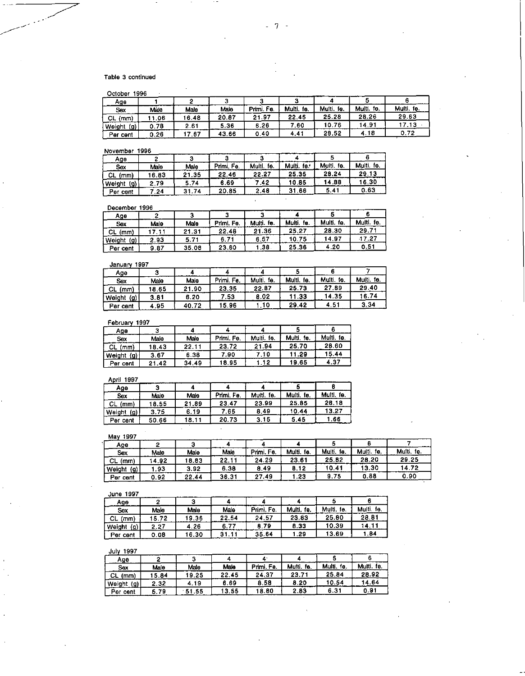## Table 3 continued

| O <sub>other</sub> 100 <sub>6</sub> |  |
|-------------------------------------|--|

| Age           |      |       |       |               |               |               |               |               |
|---------------|------|-------|-------|---------------|---------------|---------------|---------------|---------------|
| Sex           | Male | Male  | Male  | Fe.<br>Primi. | Multi.<br>te. | Multi.<br>fe. | Multi.<br>fe. | Multi.<br>Íе. |
| CL<br>(mm)    | .06  | 16.48 | 20.87 | 21.97         | 22.45         | 25.28         | 28.26         | 29.63         |
| Weight<br>(g) | 0.78 | 2.61  | 5.36  | 6.26          | 7.60          | 10.76         | 14.91         |               |
| Per cent      | 0.26 | .67   | 43.66 | 0.40          | $4.4^{\circ}$ | 28.52         | 4.18          | 0.72          |

November 1996

| .                                         | -----    |       |            |               |               |               |               |
|-------------------------------------------|----------|-------|------------|---------------|---------------|---------------|---------------|
| Ааө                                       |          |       |            |               |               |               |               |
| Sex                                       | Male     | Male  | Primi, Fe, | fe.<br>Multi. | Multi.<br>fe. | Multi.<br>fe. | Multi.<br>fe. |
| CL.<br>(mm)                               | 16.83    | 21.35 | 22 46      | 22.27         | 25 35         | 28.24         | 29.13         |
|                                           | .79<br>◠ | 5.74  | 6.69       | 42.           | 1085          | 14.88         | 16.30         |
|                                           | .24      | 31.74 | 20.85      | 2.48          | 31 66         | 5.41          | 0.63          |
| $\langle 0 \rangle$<br>Weight<br>Per cent |          |       |            |               |               |               |               |

December 1996

| <b>December 1996</b> |      |       |            |               |               |            |            |
|----------------------|------|-------|------------|---------------|---------------|------------|------------|
| Age                  |      |       |            |               |               |            |            |
| Sex                  | Male | Male  | Primi, Fe. | fe.<br>Multi. | Multi.<br>fe. | Multi, fe. | Multi, fe. |
| CL.<br>(mm)          |      | 21.31 | 22.48      | 21.36         | 25.27         | 28.30      | 29.71      |
| (g)<br>Weight        | 2.93 | 5.71  | 6.71       | 6.57          | 10.75         | 14.97      | 17.27      |
| Per cent             | 9.87 | 35.08 | 23.60      | .38.          | 25.36         | 4.20       | 0.51       |

## January 1997

| vanvan                      | .     |       |            |               |            |            |            |
|-----------------------------|-------|-------|------------|---------------|------------|------------|------------|
| Age                         |       |       |            |               |            |            |            |
| Sex                         | Male  | Male  | Primi. Fe. | Multi.<br>fe. | Multi, fe. | Multi, fe. | Multi. fe. |
| CL (mm)                     | 18.65 | 21.90 | 23.35      | 22.87         | 25.73      | 27.89      | 29.40      |
| Weight<br>$\left( 9\right)$ | 3.81  | 6.20  | 7.53       | 8.02          | 11.33      | 4.35       | 16.74      |
| Per cent                    | .95   | 40.72 | 596        | .10           | 29.42      | 4.51       | 3.34       |

February 1997

| Age           |       |       |            |               |               |               |
|---------------|-------|-------|------------|---------------|---------------|---------------|
| Sex           | Male  | Male  | Primi. Fo. | Multi.<br>fe. | Multi.<br>fe. | Multi.<br>fe. |
| СL<br>(mm)    | 18.43 | 22.11 | 23.72      | 21.94         | 25.70         | 28.60         |
| (g)<br>Weight | 3.67  | 6.38  | 7.90       | 7.10          | 11.29         | 15.44         |
| Per cent      | 21.42 | 34.49 | 18.95      | .12           | 19.65         | 4.37          |

## April 1997

| .                 |       |       |            |               |               |               |
|-------------------|-------|-------|------------|---------------|---------------|---------------|
| Age               |       |       |            |               |               |               |
| Sex               | Male  | Male  | Primi. Fe. | fe.<br>Multi. | Multi.<br>te. | Multi.<br>fe. |
| <b>CL</b><br>(mm) | 18.55 | 21.89 | 23.47      | 23.99         | 25.85         | 28.18         |
| Weight<br>(g)     | 3.75  | 6.19  | 7.65       | 8.49          | 10.44         | 13.27         |
| Per cent          | 50.66 | 18.11 | 20.73      | 3.15          | 5.45          | .66           |

May 1997

| <br>.         |       |       |       |            |               |               |               |               |
|---------------|-------|-------|-------|------------|---------------|---------------|---------------|---------------|
| Age           |       |       |       |            |               |               |               |               |
| Sox           | Male  | Male  | Male  | Primi. Fe. | Multi.<br>fe. | Multi.<br>fe. | fe.<br>Multi. | Multi.<br>te. |
| CL.<br>(mm)   | 14.92 | 8.83  | 22.11 | 24.29      | 23.61         | 25.82         | 28.20         | 29.25         |
| (g)<br>Weight | .93   | 3.92  | 6.38  | 8.49       | 8.12          | 10.41         | 13.30         | 14.72         |
| Per<br>cent   | 0.92  | 22.44 | 36.31 | 27.49      | -23           | 9.75          | 0.88          | 0.90          |

## **June 1997**

| .             |      |       |       |            |               |               |               |
|---------------|------|-------|-------|------------|---------------|---------------|---------------|
| Age           |      |       |       |            |               |               |               |
| Sex           | Male | Male  | Male  | Primi. Fe. | Multi.<br>fe. | Multi.<br>fe. | Multi.<br>fe. |
| -CL<br>(mm)   | 5.72 | 19.36 | 22.54 | 24.57      | 23.83         | 25.80         | 28.81         |
| Weight<br>(g) | 2.27 | 4.26  | 6.77  | 8.79       | 8.33          | 10.39         | 14.1          |
| Per cent      | 0.08 | 16.30 |       | 35.64      | .29           | 3.69          | .84           |

## **July 1997**

| ---           |      |       |       |           |               |               |               |
|---------------|------|-------|-------|-----------|---------------|---------------|---------------|
| Age           |      |       |       |           |               |               |               |
| Sox           | Male | Male  | Male  | Primi Fe. | Multi.<br>fe. | Multi.<br>fe. | fe.<br>Multi. |
| СL<br>(mm)    | 5.84 | 19.25 | 22.45 | 24.37     | 23.71         | 25.84         | 28.92         |
| Weight<br>(g) | 2.32 | 4.19  | 6.69  | 8.58      | 8.20          | 10 54         | 14.64         |
| Per cent      | 5.79 | 51.55 | 13.55 | 18.80     | 2.83          | 6.31          | 0.91          |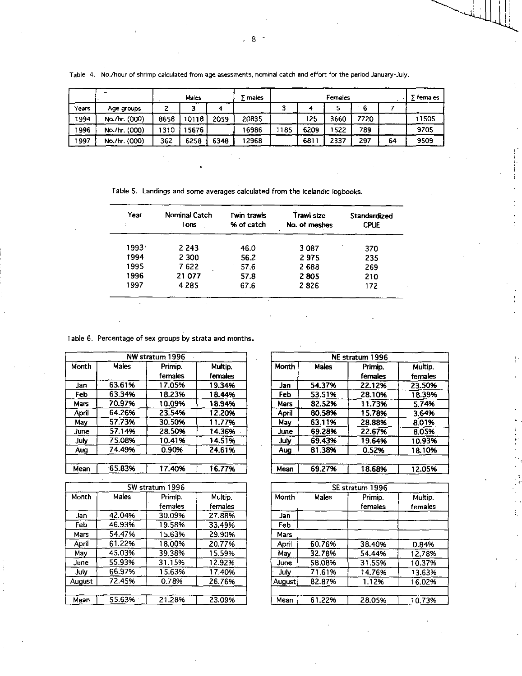|       |               |      | Males  |      | males |     |      | Females |      |    | ∑ females |
|-------|---------------|------|--------|------|-------|-----|------|---------|------|----|-----------|
| Years | Age groups    |      |        |      |       |     |      |         | 6    |    |           |
| 1994  | No./hr. (000) | 8658 | 10118  | 2059 | 20835 |     | 125  | 3660    | 7720 |    | 11505     |
| 1996  | No./hr. (000) | 310  | 15676. |      | 16986 | 185 | 6209 | 522     | 789  |    | 9705      |
| 1997  | No./hr. (000) | 362  | 6258   | 6348 | 12968 |     | 6811 | 2337    | 297  | 64 | 9509      |

Table 4. No./hour of shrimp calculated from age asessments, nominal catch and effort for the period January -July.

Table 5. Landings and some averages calculated from the Icelandic logbooks.

| Year  | Nominal Catch<br>Tons | Twin trawls<br>% of catch | Trawl size<br>No. of meshes | <b>Standardized</b><br><b>CPUE</b> |
|-------|-----------------------|---------------------------|-----------------------------|------------------------------------|
| 1993. | 2 2 4 3               | 46.0                      | 3087                        | 370                                |
| 1994  | 2 3 0 0               | 56.2                      | 2975                        | 235                                |
| 1995  | 7622                  | 57.6                      | 2688                        | 269                                |
| 1996  | 21 077                | 57.8                      | 2805                        | 210                                |
| 1997  | 4 2 8 5               | 67.6                      | 2826                        | 172                                |

Table 6. Percentage of sex groups by strata and months.

|             |        | NW stratum 1996 |         |
|-------------|--------|-----------------|---------|
| Month       | Males  | Primip.         | Multip. |
|             |        | females         | females |
| Jan         | 63.61% | 17.05%          | 19.34%  |
| Feb         | 63.34% | 18.23%          | 18.44%  |
| Mars        | 70.97% | 10.09%          | 18.94%  |
| April       | 64.26% | 23.54%          | 12.20%  |
| May         | 57.73% | 30.50%          | 11.77%  |
| <b>June</b> | 57.14% | 28.50%          | 14.36%  |
| July        | 75.08% | 10.41%          | 14.51%  |
| Aug         | 74.49% | 0.90%           | 24.61%  |
|             |        |                 |         |
| Mean        | 65.83% | 17.40%          | 16.77%  |

| SW stratum 1996 |        |                  |         |  |  |
|-----------------|--------|------------------|---------|--|--|
| Month           | Males  | Primip.          | Multip. |  |  |
|                 |        | females          | females |  |  |
| Jan             | 42.04% | 30.09%           | 27.88%  |  |  |
| Feb             | 46.93% | 19.58%<br>33.49% |         |  |  |
| Mars            | 54.47% | 15.63%           | 29.90%  |  |  |
| April           | 61.22% | 18.00%           | 20.77%  |  |  |
| May             | 45.03% | 39.38%<br>15.59% |         |  |  |
| June            | 55.93% | 31.15%           | 12.92%  |  |  |
| July            | 66.97% | 15.63%           | 17.40%  |  |  |
| August          | 72.45% | 0.78%            | 26.76%  |  |  |
|                 |        |                  |         |  |  |
| Mean            | 55.63% | 21.28%           | 23.09%  |  |  |

|       | NE stratum 1996 |         |         |  |  |  |
|-------|-----------------|---------|---------|--|--|--|
| Month | Males           | Primip. | Multip. |  |  |  |
|       |                 | females | females |  |  |  |
| Jan   | 54.37%          | 22.12%  | 23.50%  |  |  |  |
| Feb   | 53.51%          | 28.10%  | 18.39%  |  |  |  |
| Mars  | 82.52%          | 11.73%  | 5.74%   |  |  |  |
| April | 80.58%          | 15.78%  | 3.64%   |  |  |  |
| May   | 63.11%          | 28.88%  | 8.01%   |  |  |  |
| June  | 69.28%          | 22.67%  | 8.05%   |  |  |  |
| July  | 69.43%          | 19.64%  | 10.93%  |  |  |  |
| Aug   | 81.38%          | 0.52%   | 18.10%  |  |  |  |
|       |                 |         |         |  |  |  |
| Mean  | 69.27%          | 18.68%  | 12.05%  |  |  |  |

| SE stratum 1996  |                                      |         |         |  |  |
|------------------|--------------------------------------|---------|---------|--|--|
| Month            | Males                                | Primip. | Multip. |  |  |
|                  |                                      | females | females |  |  |
| Jan              |                                      |         |         |  |  |
| Feb              |                                      |         |         |  |  |
| Mars             |                                      |         |         |  |  |
| April            | 60.76%                               | 38.40%  | 0.84%   |  |  |
| May              | 32.78%                               | 54.44%  | 12.78%  |  |  |
| June             | 58.08%<br>31.55%<br>71.61%<br>14.76% |         | 10.37%  |  |  |
| July             |                                      |         | 13.63%  |  |  |
| 82.87%<br>August |                                      | 1.12%   | 16.02%  |  |  |
|                  |                                      |         |         |  |  |
| Mean             | 61.22%                               | 28.05%  | 10.73%  |  |  |

Ť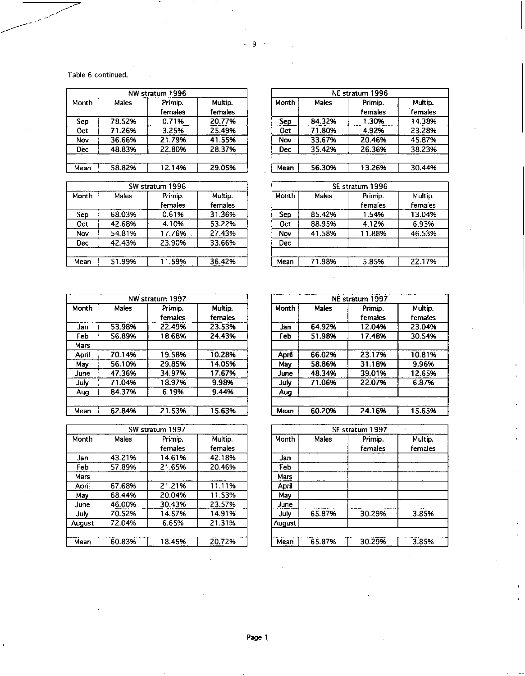Table 6 continued.

| NW stratum 1996 |        |         |         |  |  |
|-----------------|--------|---------|---------|--|--|
| Month           | Males  | Primip. | Multip. |  |  |
|                 |        | females | females |  |  |
| Sep             | 78.52% | 0.71%   | 20.77%  |  |  |
| Oct             | 71.26% | 3.25%   | 25.49%  |  |  |
| Nov             | 36.66% | 21.79%  | 41.55%  |  |  |
| <b>Dec</b>      | 48.83% | 22.80%  | 28.37%  |  |  |
|                 |        |         |         |  |  |
| Mean            | 58.82% | 12.14%  | 29.05%  |  |  |

|       | SW stratum 1996 |                    |                    |  |  |  |
|-------|-----------------|--------------------|--------------------|--|--|--|
| Month | Males           | Primip.<br>females | Multip.<br>females |  |  |  |
| Sep   | 68.03%          | 0.61%              | 31.36%             |  |  |  |
| Oct   | 42.68%          | 4.10%              | 53.22%             |  |  |  |
| Nov   | 54.81%          | 17.76%             | 27.43%             |  |  |  |
| Dec   | 42.43%          | 23.90%             | 33.66%             |  |  |  |
| Mean  | 51.99%          | 11.59%             | 36.42%             |  |  |  |

| Month         | Males  | Primip. | Multip. |  |
|---------------|--------|---------|---------|--|
|               |        | females | females |  |
| Sep           | 84.32% | 1.30%   | 14.38%  |  |
| 71.80%<br>Oct |        | 4.92%   | 23.28%  |  |
| Nov           | 33.67% | 20.46%  | 45.87%  |  |
| Dec           | 35.42% | 26.36%  | 38.23%  |  |
|               |        |         |         |  |
| Mean          | 56.30% | 13.26%  | 30.44%  |  |

| SE stratum 1996                       |        |                    |                    |  |  |  |  |
|---------------------------------------|--------|--------------------|--------------------|--|--|--|--|
| Month                                 | Males  | Primip.<br>females | Multip.<br>females |  |  |  |  |
| 85.42%<br>Sep<br><b>Oct</b><br>88.95% |        | 1.54%              | 13.04%             |  |  |  |  |
|                                       |        | 4.12%              | 6.93%              |  |  |  |  |
| Nov                                   | 41.58% | 11.88%             | 46.53%             |  |  |  |  |
| Dec                                   |        |                    |                    |  |  |  |  |
| Mean                                  | 71.98% | 5.85%              | 22.17%             |  |  |  |  |

| NW stratum 1997 |        |                    |                    |  |  |
|-----------------|--------|--------------------|--------------------|--|--|
| Month           | Males  | Primip.<br>females | Multip.<br>females |  |  |
| Jan             | 53.98% | 22.49%             | 23.53%             |  |  |
| Feb             | 56.89% | 18.68%             | 24.43%             |  |  |
| Mars            |        |                    |                    |  |  |
| April           | 70.14% | 19.58%             | 10.28%             |  |  |
| May             | 56.10% | 29.85%             | 14.05%             |  |  |
| June            | 47.36% | 34.97%             | 17.67%             |  |  |
| July            | 71.04% | 18.97%             | 9.98%              |  |  |
| Aug             | 84.37% | 6.19%              | 9.44%              |  |  |
|                 |        |                    |                    |  |  |
| Mean            | 62.84% | 21.53%             | 15.63%             |  |  |

| SW stratum 1997 |        |         |         |  |  |
|-----------------|--------|---------|---------|--|--|
| Month           | Males  | Primip. | Multip. |  |  |
|                 |        | females | females |  |  |
| Jan             | 43.21% | 14.61%  | 42.18%  |  |  |
| Feb             | 57.89% | 21.65%  | 20.46%  |  |  |
| Mars            |        |         |         |  |  |
| April           | 67.68% | 21.21%  | 11.11%  |  |  |
| May             | 68.44% | 20.04%  | 11.53%  |  |  |
| June            | 46.00% | 30.43%  | 23.57%  |  |  |
| July            | 70.52% | 14.57%  | 14.91%  |  |  |
| August          | 72.04% | 6.65%   | 21.31%  |  |  |
|                 |        |         |         |  |  |
| Mean            | 60.83% | 18.45%  | 20.72%  |  |  |

| NE stratum 1997 |        |         |         |  |  |
|-----------------|--------|---------|---------|--|--|
| Month           | Males  | Primip. | Multip. |  |  |
|                 |        | females | females |  |  |
| Jan             | 64.92% | 12.04%  | 23.04%  |  |  |
| Feb             | 51.98% | 17.48%  | 30.54%  |  |  |
|                 |        |         |         |  |  |
| April           | 66.02% | 23.17%  | 10.81%  |  |  |
| May             | 58.86% | 31.18%  | 9.96%   |  |  |
| June            | 48.34% | 39.01%  | 12.65%  |  |  |
| July            | 71.06% | 22.07%  | 6.87%   |  |  |
| Aug             |        |         |         |  |  |
|                 |        |         |         |  |  |
| Mean            | 60.20% | 24.16%  | 15.65%  |  |  |

| SE stratum 1997 |        |                    |                    |  |  |
|-----------------|--------|--------------------|--------------------|--|--|
| Month           | Males  | Primip.<br>females | Multip.<br>females |  |  |
| Jan             |        |                    |                    |  |  |
| Feb             |        |                    |                    |  |  |
| Mars            |        |                    |                    |  |  |
| April           |        |                    |                    |  |  |
| May             |        |                    |                    |  |  |
| June            |        |                    |                    |  |  |
| July            | 65.87% | 30.29%             | 3.85%              |  |  |
| August          |        |                    |                    |  |  |
|                 |        |                    |                    |  |  |
| Mean            | 65.87% | 30.29%             | 3.85%              |  |  |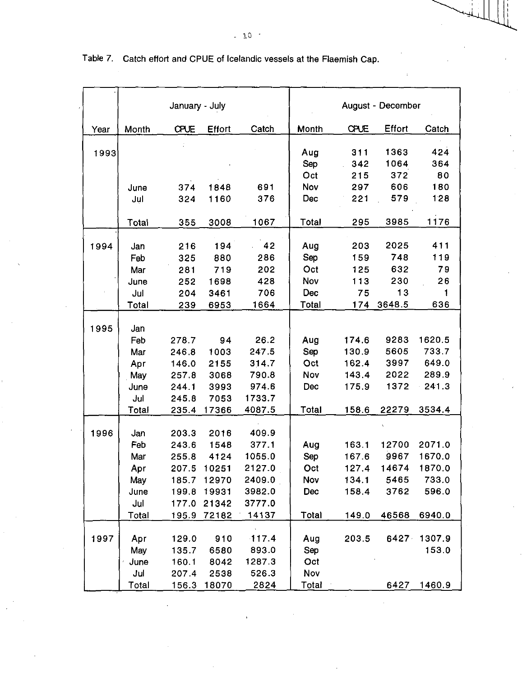|      |             | January - July |                |                  |       |             | August - December |                  |
|------|-------------|----------------|----------------|------------------|-------|-------------|-------------------|------------------|
| Year | Month       | CPUE           | Effort         | Catch            | Month | <b>CPUE</b> | <b>Effort</b>     | Catch            |
|      |             |                |                |                  |       |             |                   |                  |
| 1993 |             |                |                |                  | Aug   | 311         | 1363              | 424              |
|      |             |                |                |                  | Sep   | 342         | 1064              | 364              |
|      |             |                |                |                  | Oct   | 215         | 372               | 80               |
|      | June        | 374            | 1848           | 691              | Nov   | 297         | 606               | 180              |
|      | Jul         | 324            | 1160           | 376              | Dec   | 221         | 579               | 128              |
|      | Total       | 355            | 3008           | 1067             | Total | 295         | 3985              | 1176             |
|      |             |                |                |                  |       |             |                   |                  |
| 1994 | Jan         | 216            | 194            | $-42$            | Aug   | 203         | 2025              | 411              |
|      | Feb         | 325            | 880            | 286              | Sep   | 159         | 748               | 119              |
|      | Mar         | 281            | 719            | 202              | Oct   | 125         | 632               | 79               |
|      | June        | 252            | 1698           | 428              | Nov   | 113         | 230               | 26               |
|      | Jul         | 204            | 3461           | 706              | Dec   | 75          | 13                | $\mathbf{1}$     |
|      | Total       | 239            | 6953           | 1664             | Total | 174         | 3648.5            | 636              |
|      |             |                |                |                  |       |             |                   |                  |
| 1995 | Jan         |                |                |                  |       |             |                   |                  |
|      | Feb         | 278.7          | 94             | 26.2             | Aug   | 174.6       | 9283              | 1620.5           |
|      | Mar         | 246.8          | 1003           | 247.5            | Sep   | 130.9       | 5605              | 733.7            |
|      | Apr         | 146.0          | 2155           | 314.7            | Oct   | 162.4       | 3997              | 649.0            |
|      | May         | 257.8          | 3068           | 790.8            | Nov   | 143.4       | 2022              | 289.9            |
|      | June        | 244.1          | 3993           | 974.6            | Dec   | 175.9       | 1372              | 241.3            |
|      | Jul         | 2458           | 7053           | 1733.7           |       |             |                   |                  |
|      | Total       | 235.4          | 17366          | 4087.5           | Total | 158.6       | 22279             | 3534.4           |
|      |             |                |                |                  |       |             |                   |                  |
| 1996 | Jan         | 203.3          | 2016           | 409.9<br>377.1   |       |             |                   |                  |
|      | Feb         | 243.6          | 1548           |                  | Aug   | 163.1       | 12700<br>9967     | 2071.0<br>1670.0 |
|      | Mar         | 255.8          | 4124<br>10251  | 1055.0           | Sep   | 167.6       |                   | 1870.0           |
|      | Apr         | 207.5          |                | 2127.0           | Oct   | 127.4       | 14674             |                  |
|      | May<br>June | 185.7          | 12970          | 2409.0           | Nov   | 134.1       | 5465              | 733.0            |
|      | Jul         | 199.8          | 19931<br>21342 | 3982.0<br>3777.0 | Dec   | 158.4       | 3762              | 596.0            |
|      |             | 177.0          |                |                  |       |             |                   |                  |
|      | Total       | 195.9          | 72182          | 14137            | Total | 149.0       | 46568             | 6940.0           |
| 1997 | Apr         | 129.0          | 910            | 117.4            | Aug   | 203.5       |                   | 6427 1307.9      |
|      | May         | 135.7          | 6580           | 893.0            | Sep   |             |                   | 153.0            |
|      | June        | 160.1          | 8042           | 1287.3           | Oct   |             |                   |                  |
|      | Jul         | 207.4          | 2538           | 526.3            | Nov   |             |                   |                  |
|      | Total       | 156.3          | 18070          | 2824             | Total |             | 6427              | 1460.9           |

Table 7. Catch effort and CPUE of Icelandic vessels at the Flaemish Cap.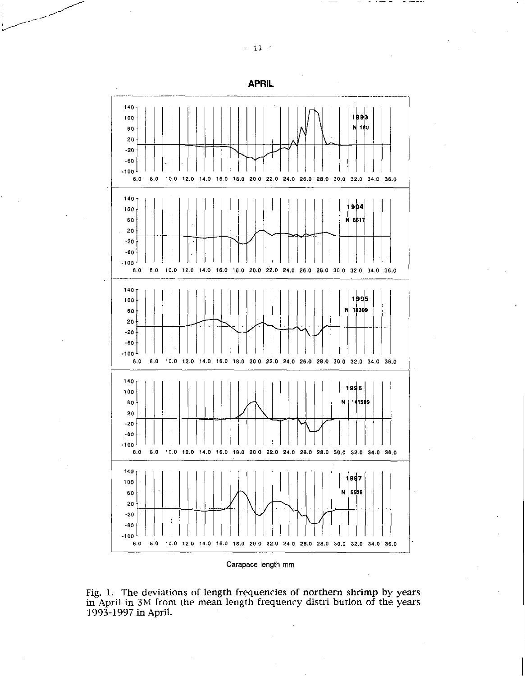140 1993 100 N 160  $60$ 20  $-20$  $-60$  $-100$  $10.0 12.0$ 16.0 18.0 20.0 22.0 24.0 26.0 28.0 30.0 32.0 34.0 36.0  $\bf 6.0$  $8.0$  $14.0$ 140 1994 100 **N 8B17** 60 20  $-20$  $-60$  $-100$  $\bf 6.0$  $8.0$  $10.0 12.0$  $14.0$ 16.0 18.0 20.0 22.0 24.0 26.0 28.0 30.0 32.0 34.0 36.0 140  $1995$ 100 18399 N 60 20  $-20$ -60  $-100$  $\boldsymbol{6.0}$  $\pmb{8.0}$ 10.0 12.0 14.0 16.0 18.0 20.0 22.0 24.0 26.0 28.0 30.0 32.0 34.0 36.0 140 1996 100 N. 141569 60  $20$  $-20$  $-60$  $-100$ 10.0 12.0 14.0 16.0 18.0 20.0 22.0 24.0 26.0 28.0 30.0 32.0 34.0 36.0 6.0  $8.0$  $140$ 1997 100 Ń. 5506  $60$ 20  $-20$ -60  $-100$  $6.0\,$  $8.0$ 10.0 12.0 14.0 16.0 18.0 20.0 22.0 24.0 26.0 28.0 30.0 32.0 34.0 36.0

Carapace length mm

Fig. 1. The deviations of length frequencies of northern shrimp by years in April in 3M from the mean length frequency distri bution of the years 1993-1997 in April.

# **APRIL**

 $-11$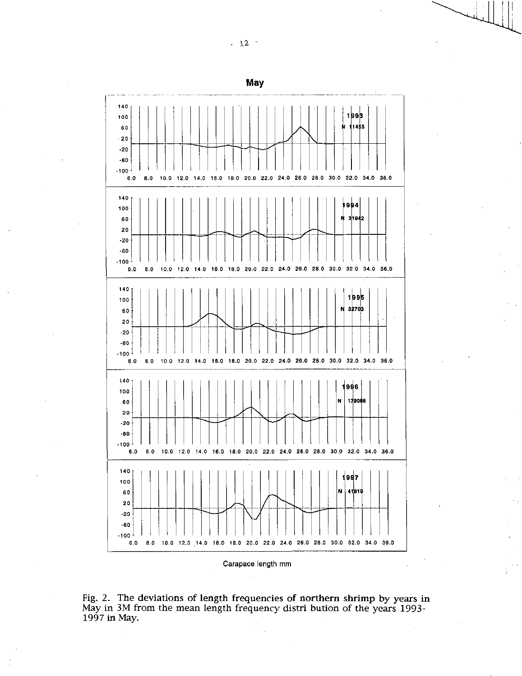

Fig. 2. The deviations of length frequencies of northern shrimp by years in May in 3M from the mean length frequency distri bution of the years 1993-1997 in May.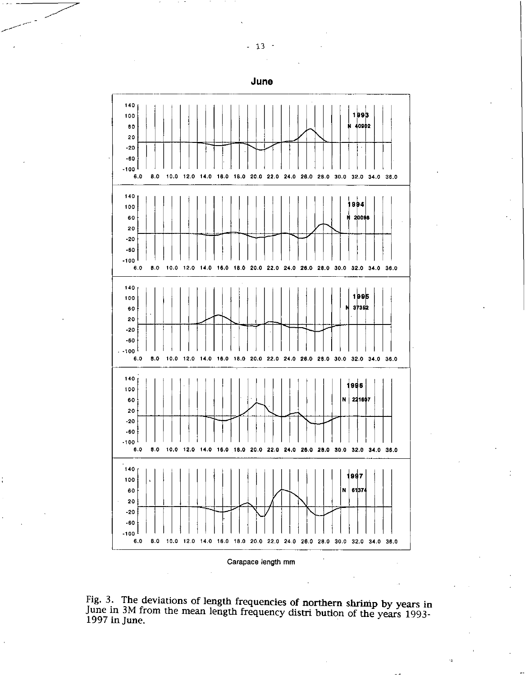- 13 -



Fig. 3. The deviations of length frequencies of northern shrimp by years in June in 3M from the mean length frequency distri bution of the years 1993- 1997 in June.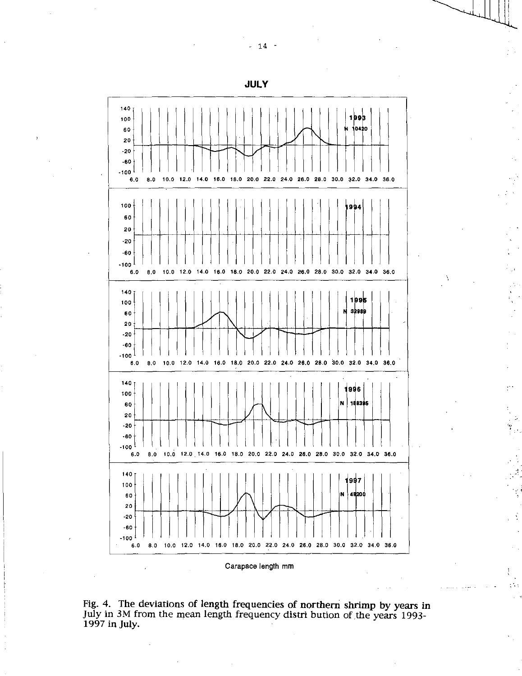**JULY** 



Fig. 4. The deviations of length frequencies of northern shrimp by years in July in 3M from the mean length frequency distri bution of the years 1993- 1997 in July.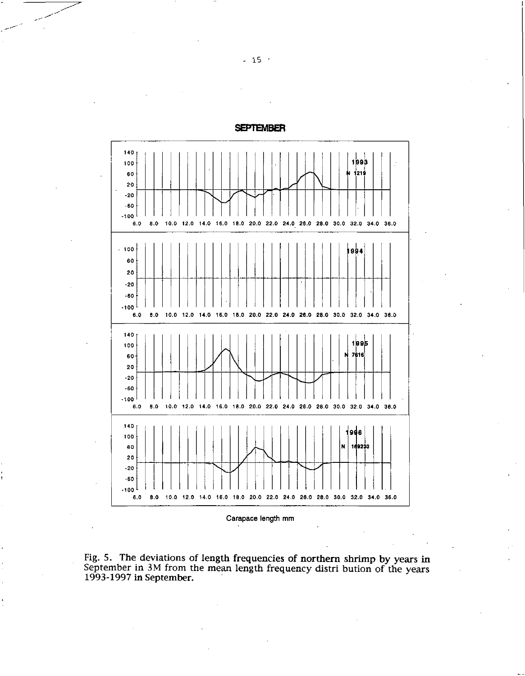

**SEPTEMBER** 

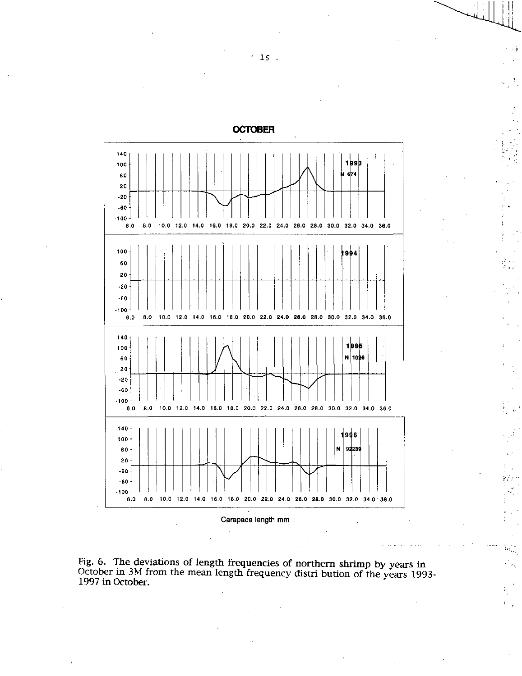

Fig. 6. The deviations of length frequencies of northern shrimp by years in October in 3M from the mean length frequency distribution of the years 1993-1997 in October.

ъ.

 $\mathbf{F}$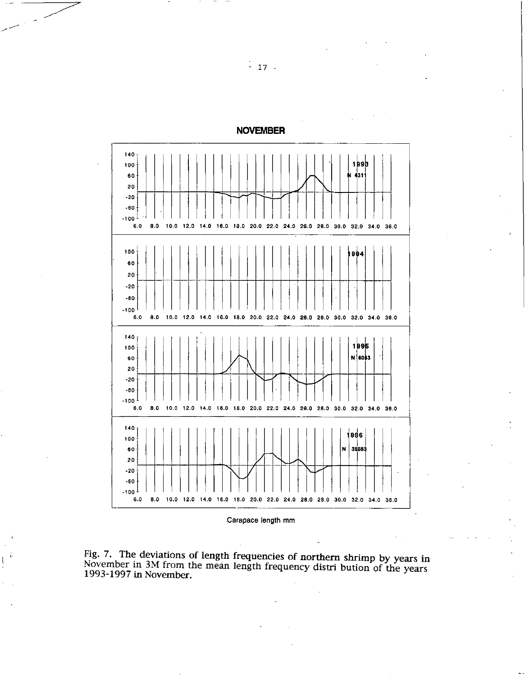

**NOVEMBER** 

Carapace length mm



 $-17 -$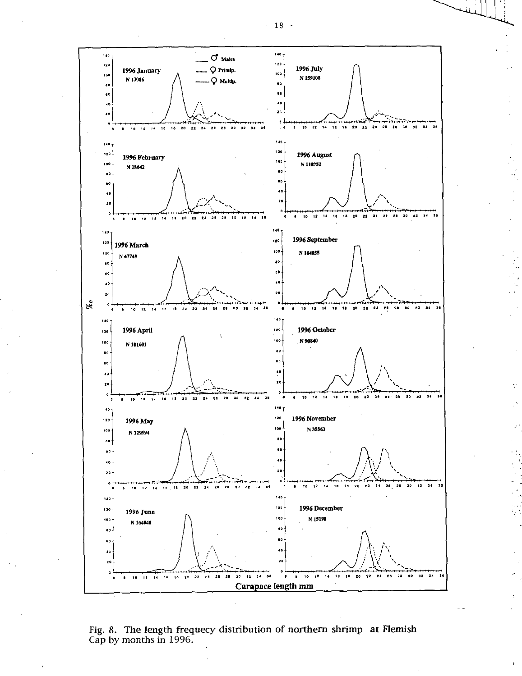- 18 -



Fig. 8. The length frequecy distribution of northern shrimp at Flemish Cap by months in 1996.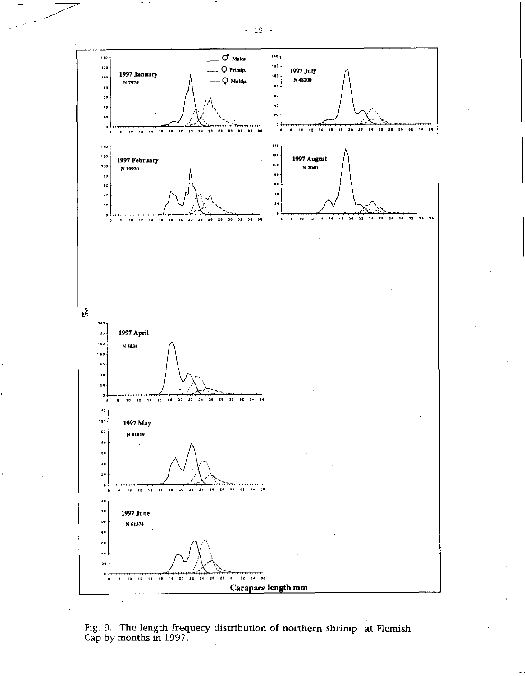- 19 -



Fig. 9. The length frequecy distribution of northern shrimp at Flemish Cap by months in 1997.

J,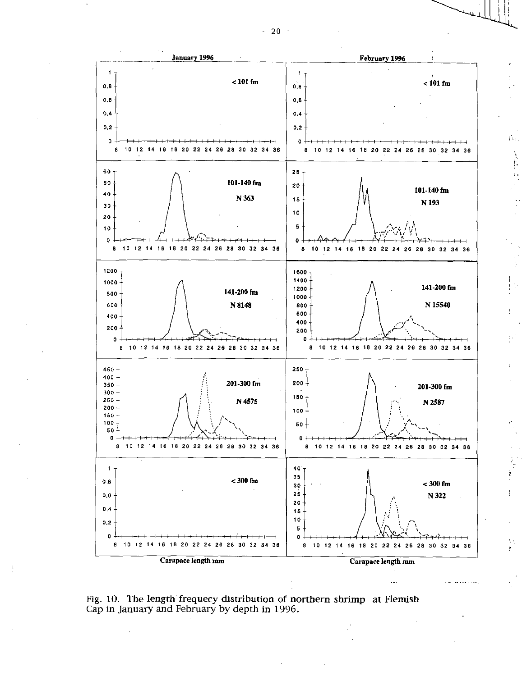

 $< 101$  fm

 $\hat{\Omega}$  :

 $\frac{1}{2} \left( \frac{1}{2} \frac{1}{2} \frac{1}{2} \frac{1}{2} \frac{1}{2} \frac{1}{2} \frac{1}{2} \frac{1}{2} \frac{1}{2} \frac{1}{2} \frac{1}{2} \frac{1}{2} \frac{1}{2} \frac{1}{2} \frac{1}{2} \frac{1}{2} \frac{1}{2} \frac{1}{2} \frac{1}{2} \frac{1}{2} \frac{1}{2} \frac{1}{2} \frac{1}{2} \frac{1}{2} \frac{1}{2} \frac{1}{2} \frac{1}{2} \frac{1}{2} \frac{1}{2} \frac{1}{2}$ 



Fig. 10. The length frequecy distribution of northern shrimp at Flemish Cap in January and February by depth in 1996.

 $-20 -$ 

January 1996

1

 $0,8$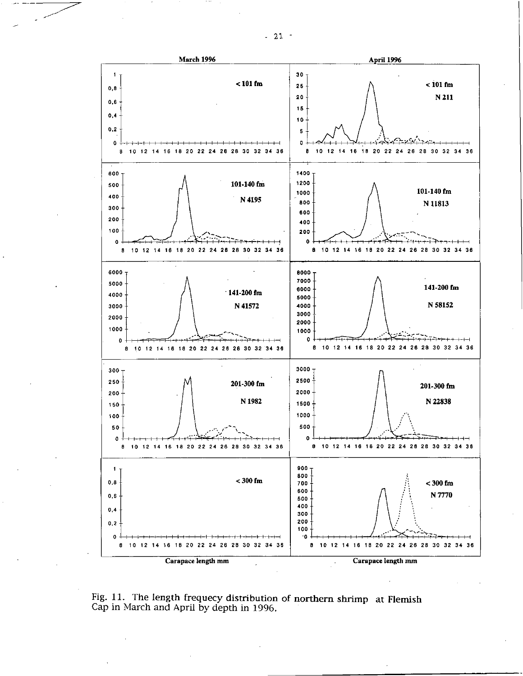

Fig. 11. The length frequecy distribution of northern shrimp at Flemish Cap in March and April by depth in 1996.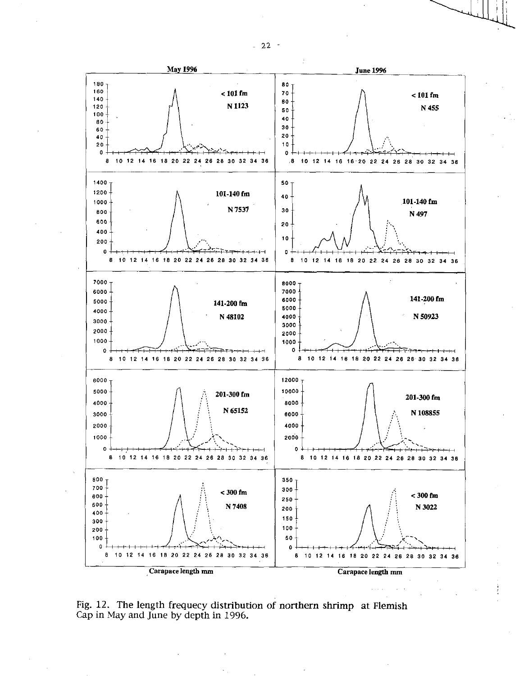

Fig. 12. The length frequecy distribution of northern shrimp at Flemish Cap in May and June by depth in 1996.

 $-22$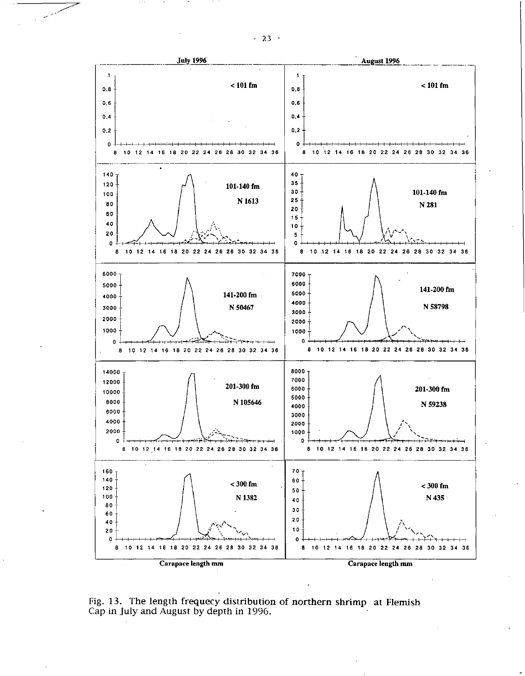

Fig. 13. The length frequecy distribution of northern shrimp at Flemish Cap in July and August by depth in 1996.

 $-23 -$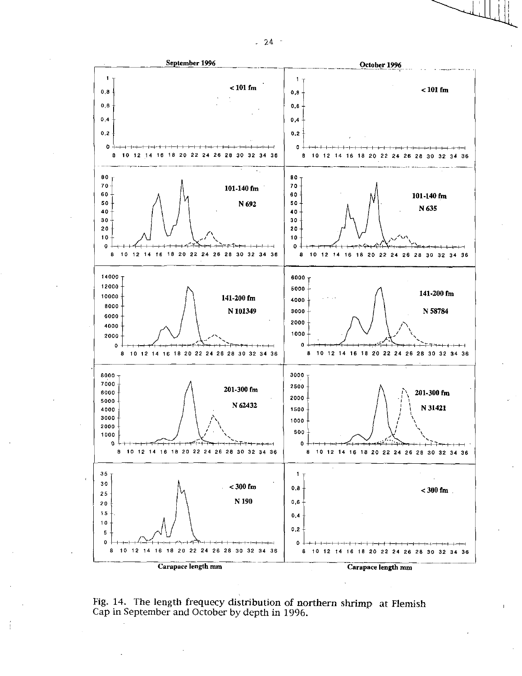



Fig. 14. The length frequecy distribution of northern shrimp at Flemish Cap in September and October by depth in 1996.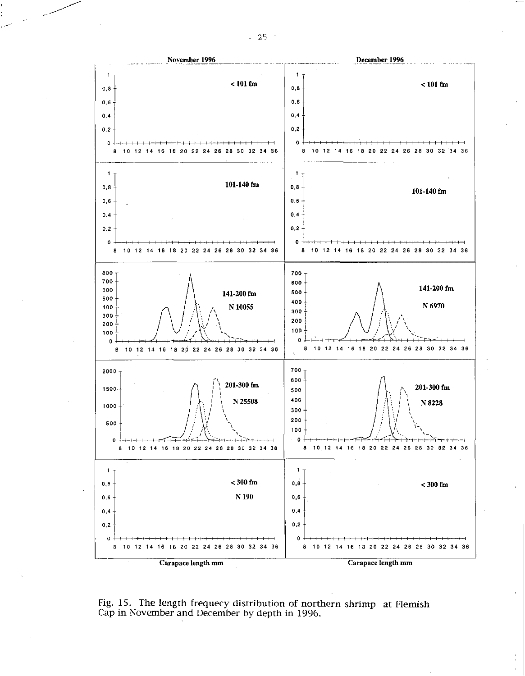

Fig. 15. The length frequecy distribution of northern shrimp at Flemish Cap in November and December by depth in 1996.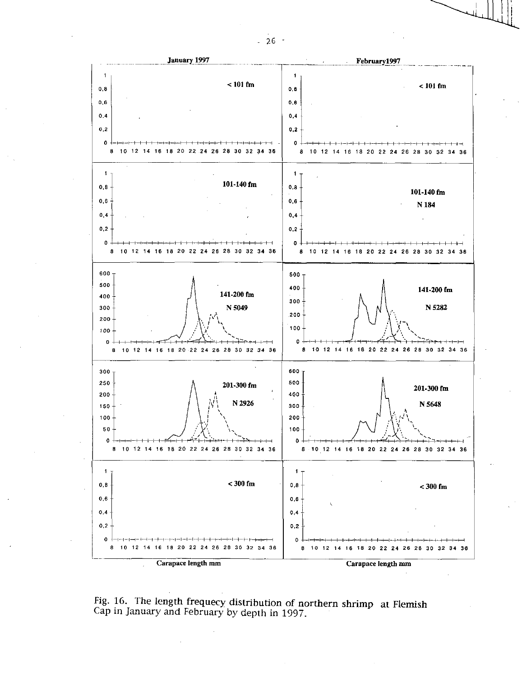

Fig. 16. The length frequecy distribution of northern shrimp at Flemish Cap in January and February by depth in 1997.

 $-26 -$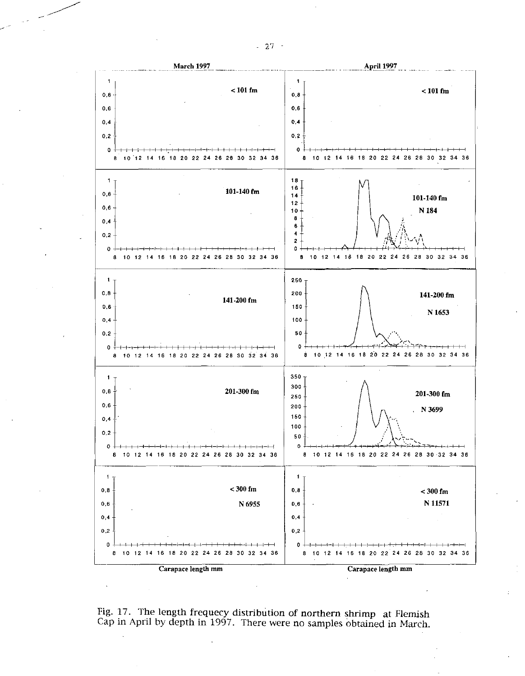

Fig. 17. The length frequecy distribution of northern shrimp at Flemish Cap in April by depth in 1997. There were no samples obtained in March.

 $-27 -$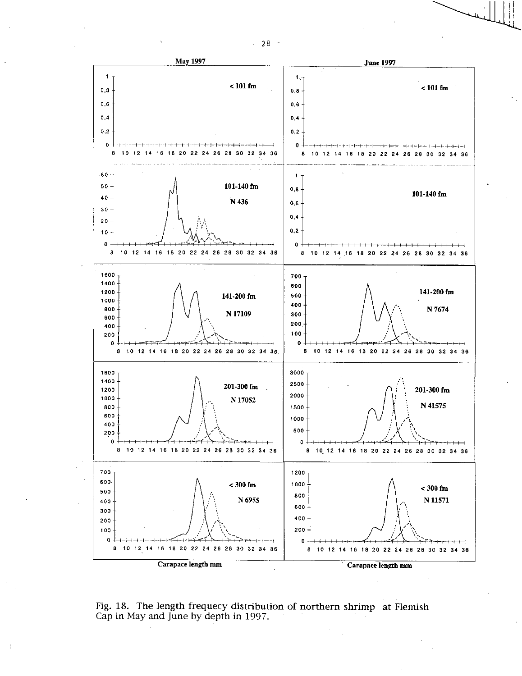

Fig. 18. The length frequecy distribution of northern shrimp at Flemish Cap in May and June by depth in 1997.

 $\mathbf{I}$ 

 $-28$  -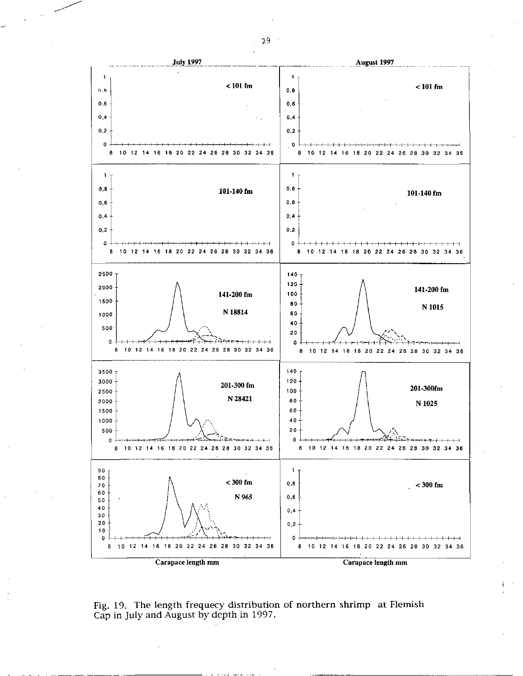

Fig. 19. The length frequecy distribution of northern shrimp at Flemish Cap in July and August by depth in 1997.

29